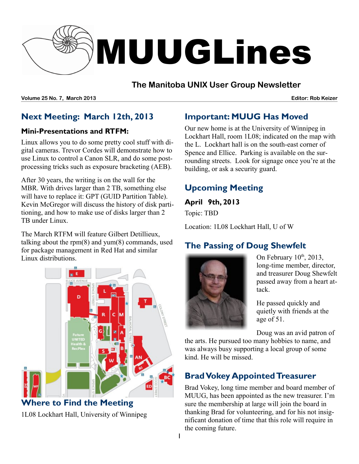

## **The Manitoba UNIX User Group Newsletter**

**Volume 25 No. 7, March 2013 Editor: Rob Keizer**

# **Next Meeting: March 12th, 2013**

#### **Mini-Presentations and RTFM:**

Linux allows you to do some pretty cool stuff with digital cameras. Trevor Cordes will demonstrate how to use Linux to control a Canon SLR, and do some postprocessing tricks such as exposure bracketing (AEB).

After 30 years, the writing is on the wall for the MBR. With drives larger than 2 TB, something else will have to replace it: GPT (GUID Partition Table). Kevin McGregor will discuss the history of disk partitioning, and how to make use of disks larger than 2 TB under Linux.

The March RTFM will feature Gilbert Detillieux, talking about the rpm(8) and yum(8) commands, used for package management in Red Hat and similar Linux distributions.



**Where to Find the Meeting** 1L08 Lockhart Hall, University of Winnipeg

# **Important: MUUG Has Moved**

Our new home is at the University of Winnipeg in Lockhart Hall, room 1L08; indicated on the map with the L. Lockhart hall is on the south-east corner of Spence and Ellice. Parking is available on the surrounding streets. Look for signage once you're at the building, or ask a security guard.

# **Upcoming Meeting**

**April 9th, 2013**

Topic: TBD

Location: 1L08 Lockhart Hall, U of W

# **The Passing of Doug Shewfelt**



On February  $10^{th}$ , 2013, long-time member, director, and treasurer Doug Shewfelt passed away from a heart attack.

He passed quickly and quietly with friends at the age of 51.

Doug was an avid patron of

the arts. He pursued too many hobbies to name, and was always busy supporting a local group of some kind. He will be missed.

# **Brad Vokey AppointedTreasurer**

Brad Vokey, long time member and board member of MUUG, has been appointed as the new treasurer. I'm sure the membership at large will join the board in thanking Brad for volunteering, and for his not insignificant donation of time that this role will require in the coming future.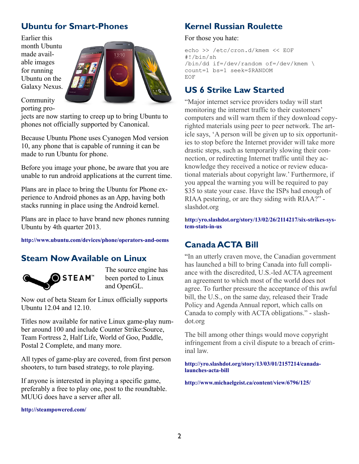## **Ubuntu for Smart-Phones**

Earlier this month Ubuntu made available images for running Ubuntu on the Galaxy Nexus.



Community porting pro-

jects are now starting to creep up to bring Ubuntu to phones not officially supported by Canonical.

Because Ubuntu Phone uses Cyanogen Mod version 10, any phone that is capable of running it can be made to run Ubuntu for phone.

Before you image your phone, be aware that you are unable to run android applications at the current time.

Plans are in place to bring the Ubuntu for Phone experience to Android phones as an App, having both stacks running in place using the Android kernel.

Plans are in place to have brand new phones running Ubuntu by 4th quarter 2013.

#### **http://www.ubuntu.com/devices/phone/operators-and-oems**

#### **Steam Now Available on Linux**



The source engine has been ported to Linux and OpenGL.

Now out of beta Steam for Linux officially supports Ubuntu 12.04 and 12.10.

Titles now available for native Linux game-play number around 100 and include Counter Strike:Source, Team Fortress 2, Half Life, World of Goo, Puddle, Postal 2 Complete, and many more.

All types of game-play are covered, from first person shooters, to turn based strategy, to role playing.

If anyone is interested in playing a specific game, preferably a free to play one, post to the roundtable. MUUG does have a server after all.

**http://steampowered.com/**

## **Kernel Russian Roulette**

For those you hate:

echo >> /etc/cron.d/kmem << EOF #!/bin/sh /bin/dd if=/dev/random of=/dev/kmem \ count=1 bs=1 seek=\$RANDOM EOF

### **US 6 Strike Law Started**

"Major internet service providers today will start monitoring the internet traffic to their customers' computers and will warn them if they download copyrighted materials using peer to peer network. The article says, 'A person will be given up to six opportunities to stop before the Internet provider will take more drastic steps, such as temporarily slowing their connection, or redirecting Internet traffic until they acknowledge they received a notice or review educational materials about copyright law.' Furthermore, if you appeal the warning you will be required to pay \$35 to state your case. Have the ISPs had enough of RIAA pestering, or are they siding with RIAA?" slashdot.org

**[http:/yro.slashdot.org/story/13/02/26/2114217/six-strikes-sys](http://yro.slashdot.org/story/13/03/01/2157214/canada-launches-acta-bill)[tem-stats-in-us](http://yro.slashdot.org/story/13/03/01/2157214/canada-launches-acta-bill)**

## **Canada ACTA Bill**

"In an utterly craven move, the Canadian government has launched a bill to bring Canada into full compliance with the discredited, U.S.-led ACTA agreement an agreement to which most of the world does not agree. To further pressure the acceptance of this awful bill, the U.S., on the same day, released their Trade Policy and Agenda Annual report, which calls on Canada to comply with ACTA obligations." - slashdot.org

The bill among other things would move copyright infringement from a civil dispute to a breach of criminal law.

**[http://yro.slashdot.org/story/13/03/01/2157214/canada](http://yro.slashdot.org/story/13/03/01/2157214/canada-launches-acta-bill)[launches-acta-bill](http://yro.slashdot.org/story/13/03/01/2157214/canada-launches-acta-bill)**

**<http://www.michaelgeist.ca/content/view/6796/125/>**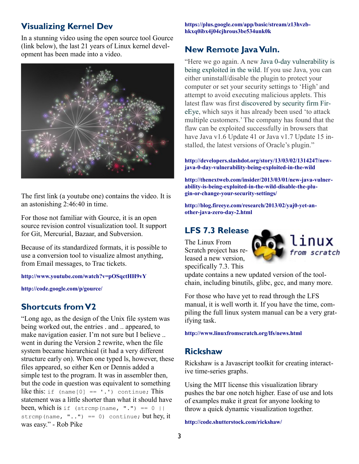## **Visualizing Kernel Dev**

In a stunning video using the open source tool Gource (link below), the last 21 years of Linux kernel development has been made into a video.



The first link (a youtube one) contains the video. It is an astonishing 2:46:40 in time.

For those not familiar with Gource, it is an open source revision control visualization tool. It support for Git, Mercurial, Bazaar, and Subversion.

Because of its standardized formats, it is possible to use a conversion tool to visualize almost anything, from Email messages, to Trac tickets.

#### **<http://www.youtube.com/watch?v=pOSqctHH9vY>**

**<http://code.google.com/p/gource/>**

## **Shortcuts from V2**

"Long ago, as the design of the Unix file system was being worked out, the entries . and .. appeared, to make navigation easier. I'm not sure but I believe .. went in during the Version 2 rewrite, when the file system became hierarchical (it had a very different structure early on). When one typed ls, however, these files appeared, so either Ken or Dennis added a simple test to the program. It was in assembler then, but the code in question was equivalent to something like this: if  $(name[0] == '.'') continue; This$ statement was a little shorter than what it should have been, which is if  $(\text{strong}(name, "") == 0)$ strcmp(name, " $\ldots$ ") == 0) continue; but hey, it was easy." - Rob Pike

**[https://plus.google.com/app/basic/stream/z13hvzb](https://plus.google.com/app/basic/stream/z13hvzbhkxq0ibx4j04cjhrous3be534unk0k)[hkxq0ibx4j04cjhrous3be534unk0k](https://plus.google.com/app/basic/stream/z13hvzbhkxq0ibx4j04cjhrous3be534unk0k)**

# **New Remote Java Vuln.**

"Here we go again. A new [Java 0-day vulnerability is](http://thenextweb.com/insider/2013/03/01/new-java-vulnerability-is-being-exploited-in-the-wild-disable-the-plugin-or-change-your-security-settings/)  [being exploited in the wild.](http://thenextweb.com/insider/2013/03/01/new-java-vulnerability-is-being-exploited-in-the-wild-disable-the-plugin-or-change-your-security-settings/) If you use Java, you can either uninstall/disable the plugin to protect your computer or set your security settings to 'High' and attempt to avoid executing malicious applets. This latest flaw was first [discovered by security firm Fir](http://blog.fireeye.com/research/2013/02/yaj0-yet-another-java-zero-day-2.html)[eEye,](http://blog.fireeye.com/research/2013/02/yaj0-yet-another-java-zero-day-2.html) which says it has already been used 'to attack multiple customers.' The company has found that the flaw can be exploited successfully in browsers that have Java v1.6 Update 41 or Java v1.7 Update 15 installed, the latest versions of Oracle's plugin."

#### **[http://developers.slashdot.org/story/13/03/02/1314247/new](http://developers.slashdot.org/story/13/03/02/1314247/new-java-0-day-vulnerability-being-exploited-in-the-wild)[java-0-day-vulnerability-being-exploited-in-the-wild](http://developers.slashdot.org/story/13/03/02/1314247/new-java-0-day-vulnerability-being-exploited-in-the-wild)**

**[http://thenextweb.com/insider/2013/03/01/new-java-vulner](http://thenextweb.com/insider/2013/03/01/new-java-vulnerability-is-being-exploited-in-the-wild-disable-the-plugin-or-change-your-security-settings/)[ability-is-being-exploited-in-the-wild-disable-the-plu](http://thenextweb.com/insider/2013/03/01/new-java-vulnerability-is-being-exploited-in-the-wild-disable-the-plugin-or-change-your-security-settings/)[gin-or-change-your-security-settings/](http://thenextweb.com/insider/2013/03/01/new-java-vulnerability-is-being-exploited-in-the-wild-disable-the-plugin-or-change-your-security-settings/)**

**[http://blog.fireeye.com/research/2013/02/yaj0-yet-an](http://blog.fireeye.com/research/2013/02/yaj0-yet-another-java-zero-day-2.html)[other-java-zero-day-2.html](http://blog.fireeye.com/research/2013/02/yaj0-yet-another-java-zero-day-2.html)**

#### **LFS 7.3 Release**

The Linux From Scratch project has released a new version, specifically 7.3. This



update contains a new updated version of the toolchain, including binutils, glibc, gcc, and many more.

For those who have yet to read through the LFS manual, it is well worth it. If you have the time, compiling the full linux system manual can be a very gratifying task.

**<http://www.linuxfromscratch.org/lfs/news.html>**

#### **Rickshaw**

Rickshaw is a Javascript toolkit for creating interactive time-series graphs.

Using the MIT license this visualization library pushes the bar one notch higher. Ease of use and lots of examples make it great for anyone looking to throw a quick dynamic visualization together.

**<http://code.shutterstock.com/rickshaw/>**